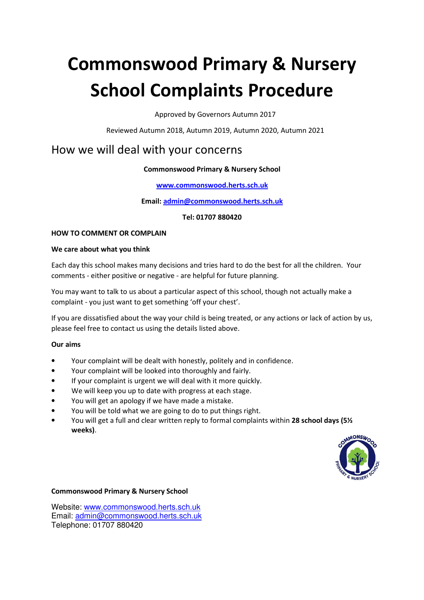# **Commonswood Primary & Nursery School Complaints Procedure**

Approved by Governors Autumn 2017

Reviewed Autumn 2018, Autumn 2019, Autumn 2020, Autumn 2021

# How we will deal with your concerns

# **Commonswood Primary & Nursery School**

#### **www.commonswood.herts.sch.uk**

**Email: admin@commonswood.herts.sch.uk**

**Tel: 01707 880420**

#### **HOW TO COMMENT OR COMPLAIN**

#### **We care about what you think**

Each day this school makes many decisions and tries hard to do the best for all the children. Your comments - either positive or negative - are helpful for future planning.

You may want to talk to us about a particular aspect of this school, though not actually make a complaint - you just want to get something 'off your chest'.

If you are dissatisfied about the way your child is being treated, or any actions or lack of action by us, please feel free to contact us using the details listed above.

#### **Our aims**

- Your complaint will be dealt with honestly, politely and in confidence.
- Your complaint will be looked into thoroughly and fairly.
- If your complaint is urgent we will deal with it more quickly.
- We will keep you up to date with progress at each stage.
- You will get an apology if we have made a mistake.
- You will be told what we are going to do to put things right.
- You will get a full and clear written reply to formal complaints within **28 school days (5½ weeks)**.



#### **Commonswood Primary & Nursery School**

Website: www.commonswood.herts.sch.uk Email: admin@commonswood.herts.sch.uk Telephone: 01707 880420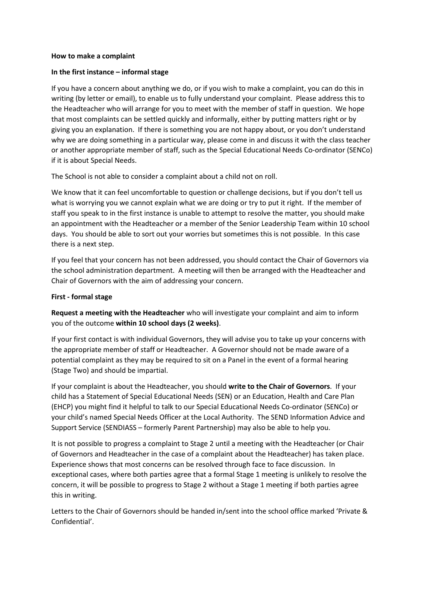#### **How to make a complaint**

#### **In the first instance – informal stage**

If you have a concern about anything we do, or if you wish to make a complaint, you can do this in writing (by letter or email), to enable us to fully understand your complaint. Please address this to the Headteacher who will arrange for you to meet with the member of staff in question. We hope that most complaints can be settled quickly and informally, either by putting matters right or by giving you an explanation. If there is something you are not happy about, or you don't understand why we are doing something in a particular way, please come in and discuss it with the class teacher or another appropriate member of staff, such as the Special Educational Needs Co-ordinator (SENCo) if it is about Special Needs.

The School is not able to consider a complaint about a child not on roll.

We know that it can feel uncomfortable to question or challenge decisions, but if you don't tell us what is worrying you we cannot explain what we are doing or try to put it right. If the member of staff you speak to in the first instance is unable to attempt to resolve the matter, you should make an appointment with the Headteacher or a member of the Senior Leadership Team within 10 school days. You should be able to sort out your worries but sometimes this is not possible. In this case there is a next step.

If you feel that your concern has not been addressed, you should contact the Chair of Governors via the school administration department. A meeting will then be arranged with the Headteacher and Chair of Governors with the aim of addressing your concern.

#### **First - formal stage**

**Request a meeting with the Headteacher** who will investigate your complaint and aim to inform you of the outcome **within 10 school days (2 weeks)**.

If your first contact is with individual Governors, they will advise you to take up your concerns with the appropriate member of staff or Headteacher. A Governor should not be made aware of a potential complaint as they may be required to sit on a Panel in the event of a formal hearing (Stage Two) and should be impartial.

If your complaint is about the Headteacher, you should **write to the Chair of Governors**. If your child has a Statement of Special Educational Needs (SEN) or an Education, Health and Care Plan (EHCP) you might find it helpful to talk to our Special Educational Needs Co-ordinator (SENCo) or your child's named Special Needs Officer at the Local Authority. The SEND Information Advice and Support Service (SENDIASS – formerly Parent Partnership) may also be able to help you.

It is not possible to progress a complaint to Stage 2 until a meeting with the Headteacher (or Chair of Governors and Headteacher in the case of a complaint about the Headteacher) has taken place. Experience shows that most concerns can be resolved through face to face discussion. In exceptional cases, where both parties agree that a formal Stage 1 meeting is unlikely to resolve the concern, it will be possible to progress to Stage 2 without a Stage 1 meeting if both parties agree this in writing.

Letters to the Chair of Governors should be handed in/sent into the school office marked 'Private & Confidential'.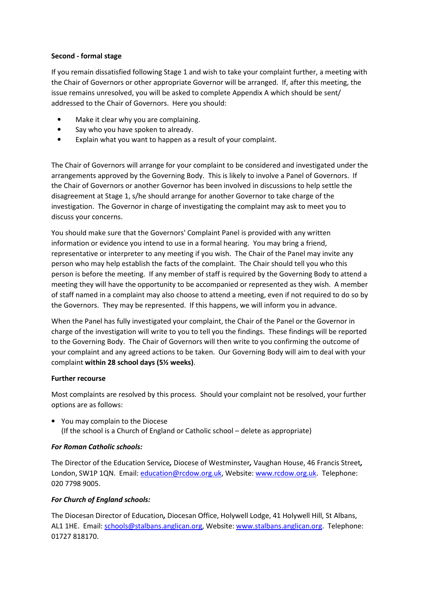#### **Second - formal stage**

If you remain dissatisfied following Stage 1 and wish to take your complaint further, a meeting with the Chair of Governors or other appropriate Governor will be arranged. If, after this meeting, the issue remains unresolved, you will be asked to complete Appendix A which should be sent/ addressed to the Chair of Governors. Here you should:

- Make it clear why you are complaining.
- Say who you have spoken to already.
- Explain what you want to happen as a result of your complaint.

The Chair of Governors will arrange for your complaint to be considered and investigated under the arrangements approved by the Governing Body. This is likely to involve a Panel of Governors. If the Chair of Governors or another Governor has been involved in discussions to help settle the disagreement at Stage 1, s/he should arrange for another Governor to take charge of the investigation. The Governor in charge of investigating the complaint may ask to meet you to discuss your concerns.

You should make sure that the Governors' Complaint Panel is provided with any written information or evidence you intend to use in a formal hearing. You may bring a friend, representative or interpreter to any meeting if you wish. The Chair of the Panel may invite any person who may help establish the facts of the complaint. The Chair should tell you who this person is before the meeting. If any member of staff is required by the Governing Body to attend a meeting they will have the opportunity to be accompanied or represented as they wish. A member of staff named in a complaint may also choose to attend a meeting, even if not required to do so by the Governors. They may be represented. If this happens, we will inform you in advance.

When the Panel has fully investigated your complaint, the Chair of the Panel or the Governor in charge of the investigation will write to you to tell you the findings. These findings will be reported to the Governing Body. The Chair of Governors will then write to you confirming the outcome of your complaint and any agreed actions to be taken. Our Governing Body will aim to deal with your complaint **within 28 school days (5½ weeks)**.

#### **Further recourse**

Most complaints are resolved by this process. Should your complaint not be resolved, your further options are as follows:

• You may complain to the Diocese (If the school is a Church of England or Catholic school – delete as appropriate)

# *For Roman Catholic schools:*

The Director of the Education Service*,* Diocese of Westminster*,* Vaughan House, 46 Francis Street*,*  London, SW1P 1QN. Email: education@rcdow.org.uk, Website: www.rcdow.org.uk. Telephone: 020 7798 9005.

# *For Church of England schools:*

The Diocesan Director of Education*,* Diocesan Office, Holywell Lodge, 41 Holywell Hill, St Albans, AL1 1HE. Email: schools@stalbans.anglican.org, Website: www.stalbans.anglican.org. Telephone: 01727 818170.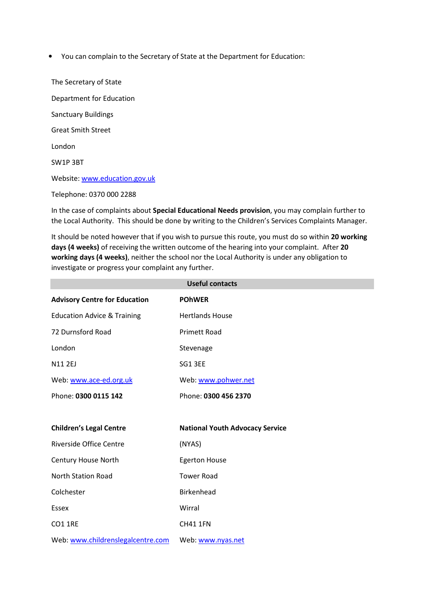• You can complain to the Secretary of State at the Department for Education:

The Secretary of State Department for Education Sanctuary Buildings Great Smith Street London SW1P 3BT Website: www.education.gov.uk Telephone: 0370 000 2288

In the case of complaints about **Special Educational Needs provision**, you may complain further to the Local Authority. This should be done by writing to the Children's Services Complaints Manager.

It should be noted however that if you wish to pursue this route, you must do so within **20 working days (4 weeks)** of receiving the written outcome of the hearing into your complaint. After **20 working days (4 weeks)**, neither the school nor the Local Authority is under any obligation to investigate or progress your complaint any further.

| <b>Useful contacts</b>                 |                                        |  |  |  |
|----------------------------------------|----------------------------------------|--|--|--|
| <b>Advisory Centre for Education</b>   | <b>POHWER</b>                          |  |  |  |
| <b>Education Advice &amp; Training</b> | <b>Hertlands House</b>                 |  |  |  |
| 72 Durnsford Road                      | <b>Primett Road</b>                    |  |  |  |
| London                                 | Stevenage                              |  |  |  |
| <b>N11 2EJ</b>                         | SG1 3EE                                |  |  |  |
| Web: www.ace-ed.org.uk                 | Web: www.pohwer.net                    |  |  |  |
| Phone: 0300 0115 142                   | Phone: 0300 456 2370                   |  |  |  |
|                                        |                                        |  |  |  |
| <b>Children's Legal Centre</b>         |                                        |  |  |  |
|                                        | <b>National Youth Advocacy Service</b> |  |  |  |
| Riverside Office Centre                | (NYAS)                                 |  |  |  |
| Century House North                    | <b>Egerton House</b>                   |  |  |  |
| <b>North Station Road</b>              | <b>Tower Road</b>                      |  |  |  |
| Colchester                             | <b>Birkenhead</b>                      |  |  |  |
| <b>Essex</b>                           | Wirral                                 |  |  |  |
| <b>CO1 1RE</b>                         | <b>CH41 1FN</b>                        |  |  |  |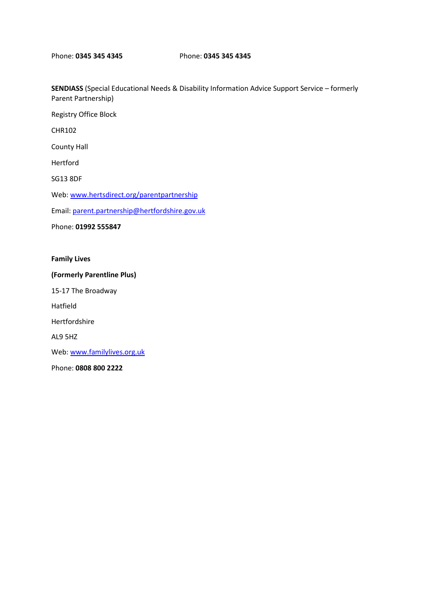**SENDIASS** (Special Educational Needs & Disability Information Advice Support Service – formerly Parent Partnership)

Registry Office Block CHR102 County Hall Hertford SG13 8DF Web: www.hertsdirect.org/parentpartnership Email: parent.partnership@hertfordshire.gov.uk Phone: **01992 555847** 

**Family Lives** 

**(Formerly Parentline Plus)** 

15-17 The Broadway

Hatfield

Hertfordshire

AL9 5HZ

Web: www.familylives.org.uk

Phone: **0808 800 2222**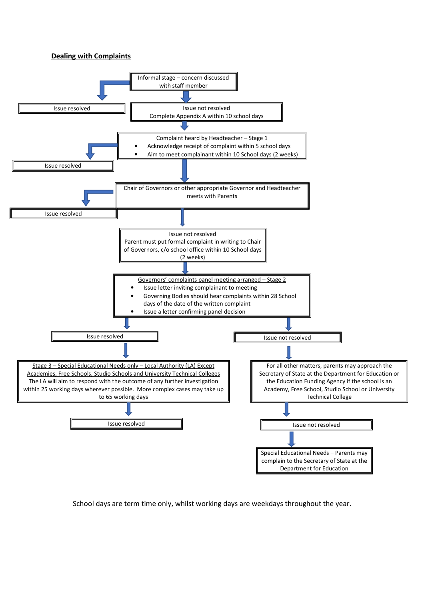#### **Dealing with Complaints**



School days are term time only, whilst working days are weekdays throughout the year.